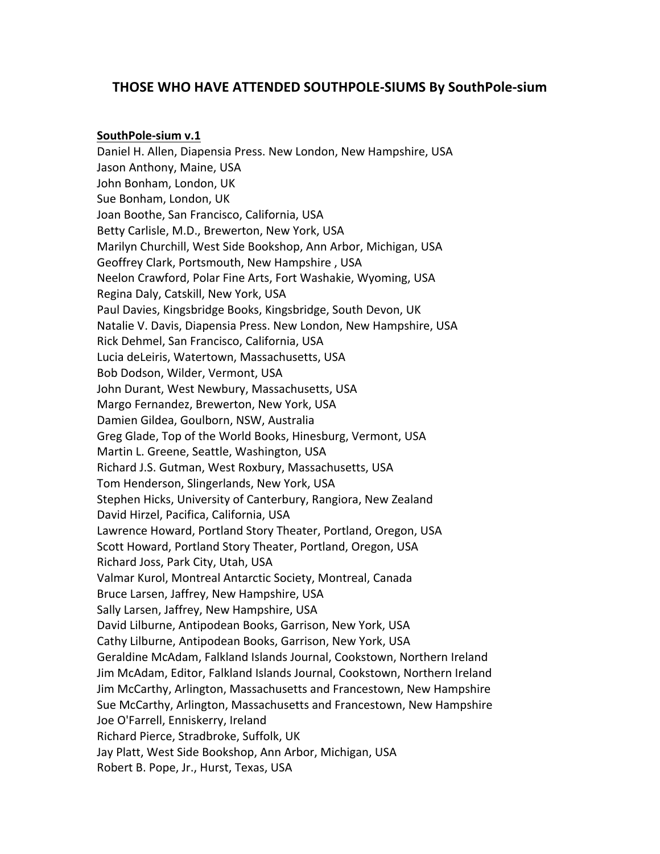# **THOSE WHO HAVE ATTENDED SOUTHPOLE-SIUMS By SouthPole-sium**

## SouthPole-sium v.1

Daniel H. Allen, Diapensia Press. New London, New Hampshire, USA Jason Anthony, Maine, USA John Bonham, London, UK Sue Bonham, London, UK Joan Boothe, San Francisco, California, USA Betty Carlisle, M.D., Brewerton, New York, USA Marilyn Churchill, West Side Bookshop, Ann Arbor, Michigan, USA Geoffrey Clark, Portsmouth, New Hampshire, USA Neelon Crawford, Polar Fine Arts, Fort Washakie, Wyoming, USA Regina Daly, Catskill, New York, USA Paul Davies, Kingsbridge Books, Kingsbridge, South Devon, UK Natalie V. Davis, Diapensia Press. New London, New Hampshire, USA Rick Dehmel, San Francisco, California, USA Lucia deLeiris, Watertown, Massachusetts, USA Bob Dodson, Wilder, Vermont, USA John Durant, West Newbury, Massachusetts, USA Margo Fernandez, Brewerton, New York, USA Damien Gildea, Goulborn, NSW, Australia Greg Glade, Top of the World Books, Hinesburg, Vermont, USA Martin L. Greene, Seattle, Washington, USA Richard J.S. Gutman, West Roxbury, Massachusetts, USA Tom Henderson, Slingerlands, New York, USA Stephen Hicks, University of Canterbury, Rangiora, New Zealand David Hirzel, Pacifica, California, USA Lawrence Howard, Portland Story Theater, Portland, Oregon, USA Scott Howard, Portland Story Theater, Portland, Oregon, USA Richard Joss, Park City, Utah, USA Valmar Kurol, Montreal Antarctic Society, Montreal, Canada Bruce Larsen, Jaffrey, New Hampshire, USA Sally Larsen, Jaffrey, New Hampshire, USA David Lilburne, Antipodean Books, Garrison, New York, USA Cathy Lilburne, Antipodean Books, Garrison, New York, USA Geraldine McAdam, Falkland Islands Journal, Cookstown, Northern Ireland Jim McAdam, Editor, Falkland Islands Journal, Cookstown, Northern Ireland Jim McCarthy, Arlington, Massachusetts and Francestown, New Hampshire Sue McCarthy, Arlington, Massachusetts and Francestown, New Hampshire Joe O'Farrell, Enniskerry, Ireland Richard Pierce, Stradbroke, Suffolk, UK Jay Platt, West Side Bookshop, Ann Arbor, Michigan, USA Robert B. Pope, Jr., Hurst, Texas, USA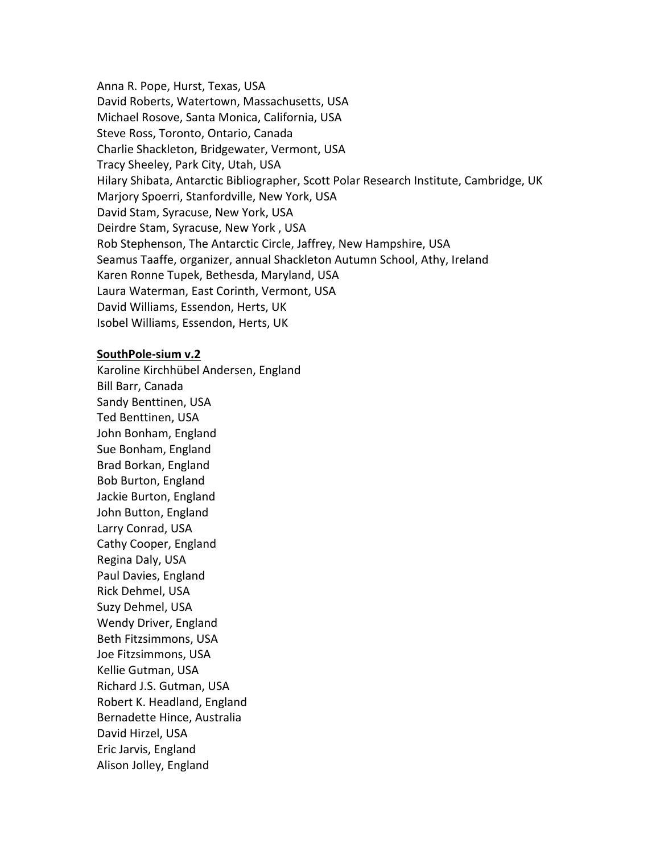Anna R. Pope, Hurst, Texas, USA David Roberts, Watertown, Massachusetts, USA Michael Rosove, Santa Monica, California, USA Steve Ross, Toronto, Ontario, Canada Charlie Shackleton, Bridgewater, Vermont, USA Tracy Sheeley, Park City, Utah, USA Hilary Shibata, Antarctic Bibliographer, Scott Polar Research Institute, Cambridge, UK Marjory Spoerri, Stanfordville, New York, USA David Stam, Syracuse, New York, USA Deirdre Stam, Syracuse, New York, USA Rob Stephenson, The Antarctic Circle, Jaffrey, New Hampshire, USA Seamus Taaffe, organizer, annual Shackleton Autumn School, Athy, Ireland Karen Ronne Tupek, Bethesda, Maryland, USA Laura Waterman, East Corinth, Vermont, USA David Williams, Essendon, Herts, UK Isobel Williams, Essendon, Herts, UK

## SouthPole-sium v.2

Karoline Kirchhübel Andersen, England Bill Barr, Canada Sandy Benttinen, USA Ted Benttinen, USA John Bonham, England Sue Bonham, England Brad Borkan, England Bob Burton, England Jackie Burton, England John Button, England Larry Conrad, USA Cathy Cooper, England Regina Daly, USA Paul Davies, England Rick Dehmel, USA Suzy Dehmel, USA Wendy Driver, England Beth Fitzsimmons, USA Joe Fitzsimmons, USA Kellie Gutman, USA Richard J.S. Gutman, USA Robert K. Headland, England Bernadette Hince, Australia David Hirzel, USA Eric Jarvis, England Alison Jolley, England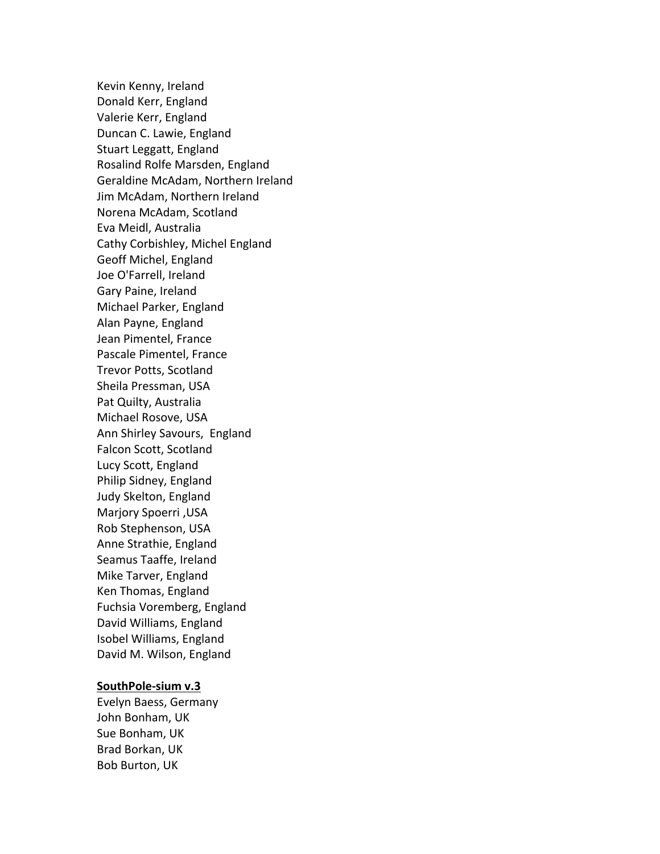Kevin Kenny, Ireland Donald Kerr, England Valerie Kerr, England Duncan C. Lawie, England Stuart Leggatt, England Rosalind Rolfe Marsden, England Geraldine McAdam, Northern Ireland Jim McAdam, Northern Ireland Norena McAdam, Scotland Eva Meidl, Australia Cathy Corbishley, Michel England Geoff Michel, England Joe O'Farrell, Ireland Gary Paine, Ireland Michael Parker, England Alan Payne, England Jean Pimentel, France Pascale Pimentel, France Trevor Potts, Scotland Sheila Pressman, USA Pat Quilty, Australia Michael Rosove, USA Ann Shirley Savours, England Falcon Scott, Scotland Lucy Scott, England Philip Sidney, England Judy Skelton, England Marjory Spoerri ,USA Rob Stephenson, USA Anne Strathie, England Seamus Taaffe, Ireland Mike Tarver, England Ken Thomas, England Fuchsia Voremberg, England David Williams, England Isobel Williams, England David M. Wilson, England

### **SouthPole-sium v.3**

Evelyn Baess, Germany John Bonham, UK Sue Bonham, UK Brad Borkan, UK Bob Burton, UK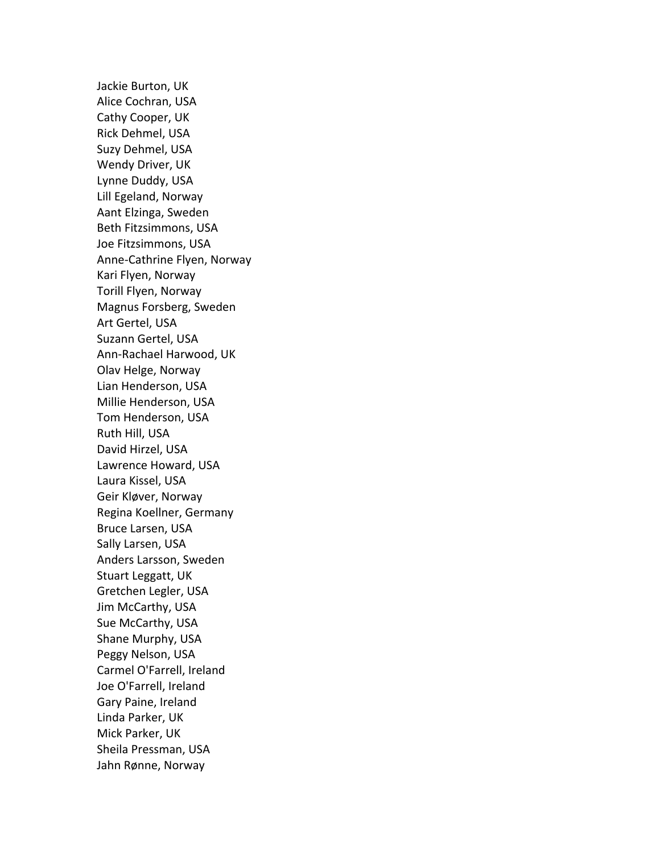Jackie Burton, UK Alice Cochran, USA Cathy Cooper, UK Rick Dehmel, USA Suzy Dehmel, USA Wendy Driver, UK Lynne Duddy, USA Lill Egeland, Norway Aant Elzinga, Sweden Beth Fitzsimmons, USA Joe Fitzsimmons, USA Anne-Cathrine Flyen, Norway Kari Flyen, Norway Torill Flyen, Norway Magnus Forsberg, Sweden Art Gertel, USA Suzann Gertel, USA Ann-Rachael Harwood, UK Olav Helge, Norway Lian Henderson, USA Millie Henderson, USA Tom Henderson, USA Ruth Hill, USA David Hirzel, USA Lawrence Howard, USA Laura Kissel, USA Geir Kløver, Norway Regina Koellner, Germany Bruce Larsen, USA Sally Larsen, USA Anders Larsson, Sweden Stuart Leggatt, UK Gretchen Legler, USA Jim McCarthy, USA Sue McCarthy, USA Shane Murphy, USA Peggy Nelson, USA Carmel O'Farrell, Ireland Joe O'Farrell, Ireland Gary Paine, Ireland Linda Parker, UK Mick Parker, UK Sheila Pressman, USA Jahn Rønne, Norway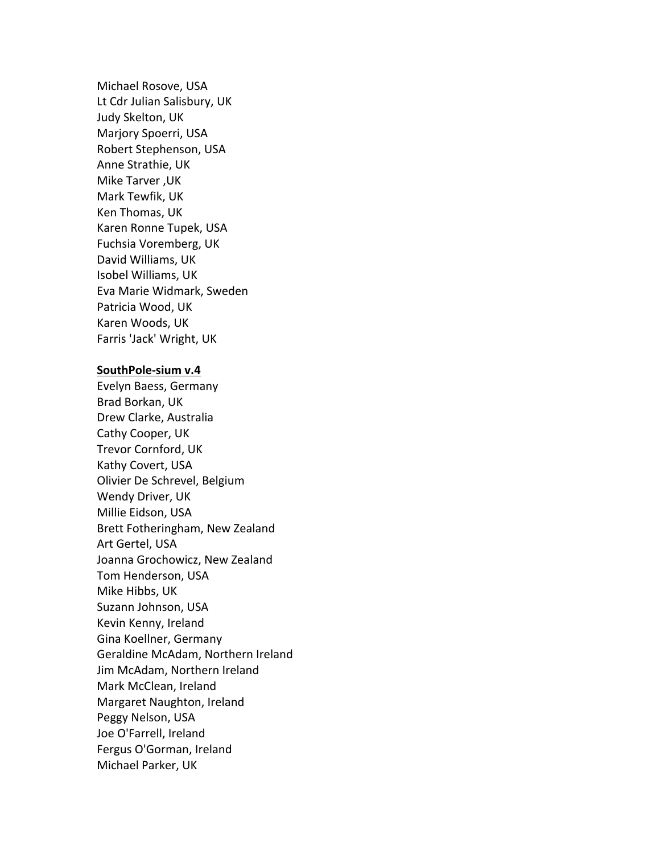Michael Rosove, USA Lt Cdr Julian Salisbury, UK Judy Skelton, UK Marjory Spoerri, USA Robert Stephenson, USA Anne Strathie, UK Mike Tarver, UK Mark Tewfik, UK Ken Thomas, UK Karen Ronne Tupek, USA Fuchsia Voremberg, UK David Williams, UK Isobel Williams, UK Eva Marie Widmark, Sweden Patricia Wood, UK Karen Woods, UK Farris 'Jack' Wright, UK

### SouthPole-sium v.4

Evelyn Baess, Germany Brad Borkan, UK Drew Clarke, Australia Cathy Cooper, UK Trevor Cornford, UK Kathy Covert, USA Olivier De Schrevel, Belgium Wendy Driver, UK Millie Eidson, USA Brett Fotheringham, New Zealand Art Gertel, USA Joanna Grochowicz, New Zealand Tom Henderson, USA Mike Hibbs, UK Suzann Johnson, USA Kevin Kenny, Ireland Gina Koellner, Germany Geraldine McAdam, Northern Ireland Jim McAdam, Northern Ireland Mark McClean, Ireland Margaret Naughton, Ireland Peggy Nelson, USA Joe O'Farrell, Ireland Fergus O'Gorman, Ireland Michael Parker, UK